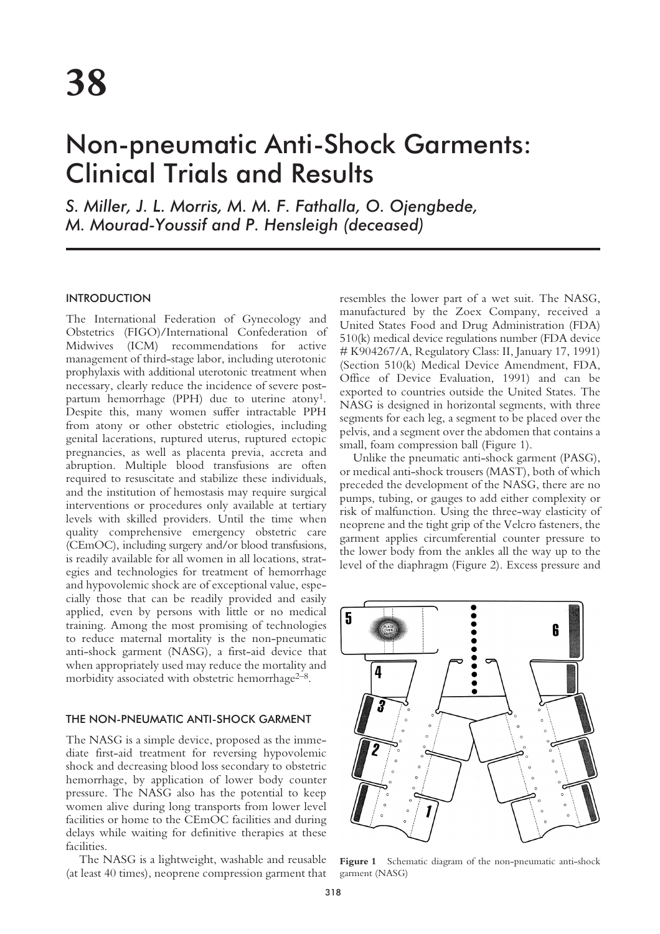# Non-pneumatic Anti-Shock Garments: Clinical Trials and Results

*S. Miller, J. L. Morris, M. M. F. Fathalla, O. Ojengbede, M. Mourad-Youssif and P. Hensleigh (deceased)*

# INTRODUCTION

The International Federation of Gynecology and Obstetrics (FIGO)/International Confederation of Midwives (ICM) recommendations for active management of third-stage labor, including uterotonic prophylaxis with additional uterotonic treatment when necessary, clearly reduce the incidence of severe postpartum hemorrhage (PPH) due to uterine atony<sup>1</sup>. Despite this, many women suffer intractable PPH from atony or other obstetric etiologies, including genital lacerations, ruptured uterus, ruptured ectopic pregnancies, as well as placenta previa, accreta and abruption. Multiple blood transfusions are often required to resuscitate and stabilize these individuals, and the institution of hemostasis may require surgical interventions or procedures only available at tertiary levels with skilled providers. Until the time when quality comprehensive emergency obstetric care (CEmOC), including surgery and/or blood transfusions, is readily available for all women in all locations, strategies and technologies for treatment of hemorrhage and hypovolemic shock are of exceptional value, especially those that can be readily provided and easily applied, even by persons with little or no medical training. Among the most promising of technologies to reduce maternal mortality is the non-pneumatic anti-shock garment (NASG), a first-aid device that when appropriately used may reduce the mortality and morbidity associated with obstetric hemorrhage $2^{-8}$ .

#### THE NON-PNEUMATIC ANTI-SHOCK GARMENT

The NASG is a simple device, proposed as the immediate first-aid treatment for reversing hypovolemic shock and decreasing blood loss secondary to obstetric hemorrhage, by application of lower body counter pressure. The NASG also has the potential to keep women alive during long transports from lower level facilities or home to the CEmOC facilities and during delays while waiting for definitive therapies at these facilities.

The NASG is a lightweight, washable and reusable (at least 40 times), neoprene compression garment that

resembles the lower part of a wet suit. The NASG, manufactured by the Zoex Company, received a United States Food and Drug Administration (FDA) 510(k) medical device regulations number (FDA device # K904267/A, Regulatory Class: II, January 17, 1991) (Section 510(k) Medical Device Amendment, FDA, Office of Device Evaluation, 1991) and can be exported to countries outside the United States. The NASG is designed in horizontal segments, with three segments for each leg, a segment to be placed over the pelvis, and a segment over the abdomen that contains a small, foam compression ball (Figure 1).

Unlike the pneumatic anti-shock garment (PASG), or medical anti-shock trousers (MAST), both of which preceded the development of the NASG, there are no pumps, tubing, or gauges to add either complexity or risk of malfunction. Using the three-way elasticity of neoprene and the tight grip of the Velcro fasteners, the garment applies circumferential counter pressure to the lower body from the ankles all the way up to the level of the diaphragm (Figure 2). Excess pressure and



**Figure 1** Schematic diagram of the non-pneumatic anti-shock garment (NASG)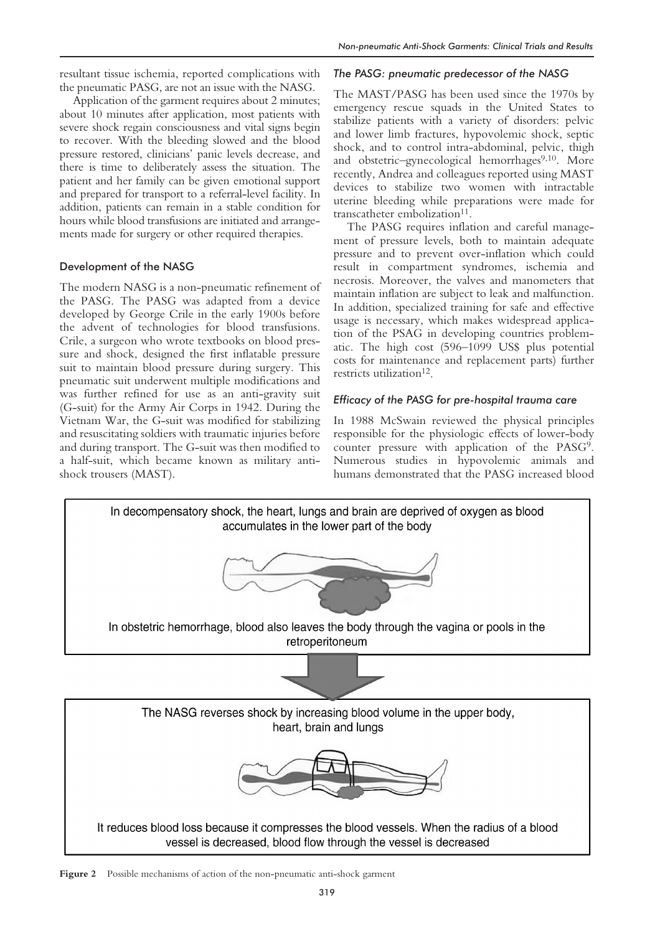resultant tissue ischemia, reported complications with the pneumatic PASG, are not an issue with the NASG.

Application of the garment requires about 2 minutes; about 10 minutes after application, most patients with severe shock regain consciousness and vital signs begin to recover. With the bleeding slowed and the blood pressure restored, clinicians' panic levels decrease, and there is time to deliberately assess the situation. The patient and her family can be given emotional support and prepared for transport to a referral-level facility. In addition, patients can remain in a stable condition for hours while blood transfusions are initiated and arrangements made for surgery or other required therapies.

## Development of the NASG

The modern NASG is a non-pneumatic refinement of the PASG. The PASG was adapted from a device developed by George Crile in the early 1900s before the advent of technologies for blood transfusions. Crile, a surgeon who wrote textbooks on blood pressure and shock, designed the first inflatable pressure suit to maintain blood pressure during surgery. This pneumatic suit underwent multiple modifications and was further refined for use as an anti-gravity suit (G-suit) for the Army Air Corps in 1942. During the Vietnam War, the G-suit was modified for stabilizing and resuscitating soldiers with traumatic injuries before and during transport. The G-suit was then modified to a half-suit, which became known as military antishock trousers (MAST).

#### *The PASG: pneumatic predecessor of the NASG*

The MAST/PASG has been used since the 1970s by emergency rescue squads in the United States to stabilize patients with a variety of disorders: pelvic and lower limb fractures, hypovolemic shock, septic shock, and to control intra-abdominal, pelvic, thigh and obstetric–gynecological hemorrhages<sup>9,10</sup>. More recently, Andrea and colleagues reported using MAST devices to stabilize two women with intractable uterine bleeding while preparations were made for transcatheter embolization<sup>11</sup>.

The PASG requires inflation and careful management of pressure levels, both to maintain adequate pressure and to prevent over-inflation which could result in compartment syndromes, ischemia and necrosis. Moreover, the valves and manometers that maintain inflation are subject to leak and malfunction. In addition, specialized training for safe and effective usage is necessary, which makes widespread application of the PSAG in developing countries problematic. The high cost (596–1099 US\$ plus potential costs for maintenance and replacement parts) further restricts utilization<sup>12</sup>.

#### *Efficacy of the PASG for pre-hospital trauma care*

In 1988 McSwain reviewed the physical principles responsible for the physiologic effects of lower-body counter pressure with application of the PASG9. Numerous studies in hypovolemic animals and humans demonstrated that the PASG increased blood



**Figure 2** Possible mechanisms of action of the non-pneumatic anti-shock garment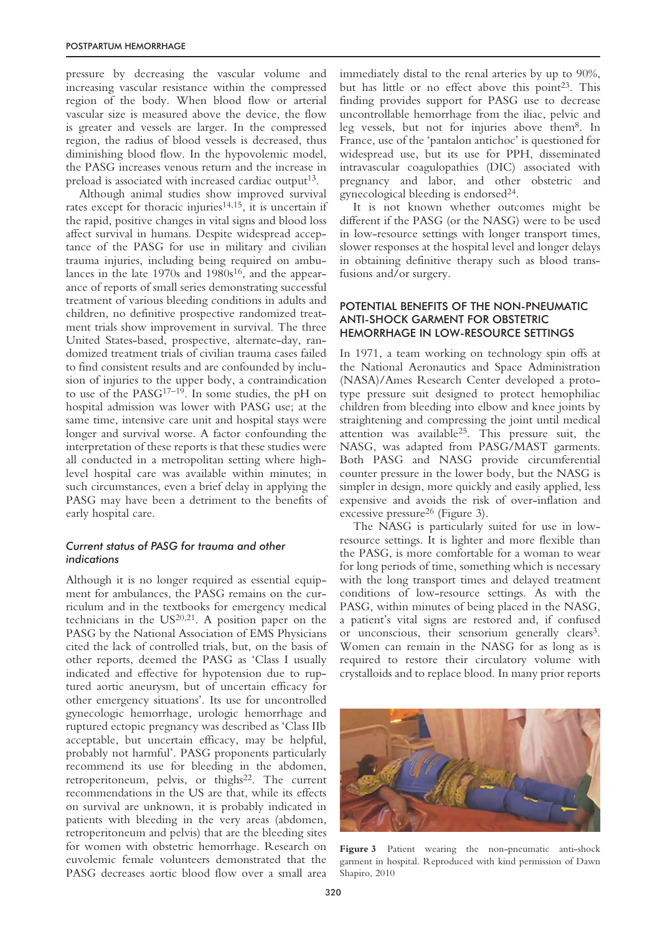pressure by decreasing the vascular volume and increasing vascular resistance within the compressed region of the body. When blood flow or arterial vascular size is measured above the device, the flow is greater and vessels are larger. In the compressed region, the radius of blood vessels is decreased, thus diminishing blood flow. In the hypovolemic model, the PASG increases venous return and the increase in preload is associated with increased cardiac output<sup>13</sup>.

Although animal studies show improved survival rates except for thoracic injuries<sup>14,15</sup>, it is uncertain if the rapid, positive changes in vital signs and blood loss affect survival in humans. Despite widespread acceptance of the PASG for use in military and civilian trauma injuries, including being required on ambulances in the late  $1970s$  and  $1980s<sup>16</sup>$ , and the appearance of reports of small series demonstrating successful treatment of various bleeding conditions in adults and children, no definitive prospective randomized treatment trials show improvement in survival. The three United States-based, prospective, alternate-day, randomized treatment trials of civilian trauma cases failed to find consistent results and are confounded by inclusion of injuries to the upper body, a contraindication to use of the PASG17–19. In some studies, the pH on hospital admission was lower with PASG use; at the same time, intensive care unit and hospital stays were longer and survival worse. A factor confounding the interpretation of these reports is that these studies were all conducted in a metropolitan setting where highlevel hospital care was available within minutes; in such circumstances, even a brief delay in applying the PASG may have been a detriment to the benefits of early hospital care.

#### *Current status of PASG for trauma and other indications*

Although it is no longer required as essential equipment for ambulances, the PASG remains on the curriculum and in the textbooks for emergency medical technicians in the  $US^{20,21}$ . A position paper on the PASG by the National Association of EMS Physicians cited the lack of controlled trials, but, on the basis of other reports, deemed the PASG as 'Class I usually indicated and effective for hypotension due to ruptured aortic aneurysm, but of uncertain efficacy for other emergency situations'. Its use for uncontrolled gynecologic hemorrhage, urologic hemorrhage and ruptured ectopic pregnancy was described as 'Class IIb acceptable, but uncertain efficacy, may be helpful, probably not harmful'. PASG proponents particularly recommend its use for bleeding in the abdomen, retroperitoneum, pelvis, or thighs<sup>22</sup>. The current recommendations in the US are that, while its effects on survival are unknown, it is probably indicated in patients with bleeding in the very areas (abdomen, retroperitoneum and pelvis) that are the bleeding sites for women with obstetric hemorrhage. Research on euvolemic female volunteers demonstrated that the PASG decreases aortic blood flow over a small area immediately distal to the renal arteries by up to 90%, but has little or no effect above this point<sup>23</sup>. This finding provides support for PASG use to decrease uncontrollable hemorrhage from the iliac, pelvic and leg vessels, but not for injuries above them8. In France, use of the 'pantalon antichoc' is questioned for widespread use, but its use for PPH, disseminated intravascular coagulopathies (DIC) associated with pregnancy and labor, and other obstetric and gynecological bleeding is endorsed $24$ .

It is not known whether outcomes might be different if the PASG (or the NASG) were to be used in low-resource settings with longer transport times, slower responses at the hospital level and longer delays in obtaining definitive therapy such as blood transfusions and/or surgery.

# POTENTIAL BENEFITS OF THE NON-PNEUMATIC ANTI-SHOCK GARMENT FOR OBSTETRIC HEMORRHAGE IN LOW-RESOURCE SETTINGS

In 1971, a team working on technology spin offs at the National Aeronautics and Space Administration (NASA)/Ames Research Center developed a prototype pressure suit designed to protect hemophiliac children from bleeding into elbow and knee joints by straightening and compressing the joint until medical attention was available25. This pressure suit, the NASG, was adapted from PASG/MAST garments. Both PASG and NASG provide circumferential counter pressure in the lower body, but the NASG is simpler in design, more quickly and easily applied, less expensive and avoids the risk of over-inflation and excessive pressure<sup>26</sup> (Figure 3).

The NASG is particularly suited for use in lowresource settings. It is lighter and more flexible than the PASG, is more comfortable for a woman to wear for long periods of time, something which is necessary with the long transport times and delayed treatment conditions of low-resource settings. As with the PASG, within minutes of being placed in the NASG, a patient's vital signs are restored and, if confused or unconscious, their sensorium generally clears<sup>3</sup>. Women can remain in the NASG for as long as is required to restore their circulatory volume with crystalloids and to replace blood. In many prior reports



Figure 3 Patient wearing the non-pneumatic anti-shock garment in hospital. Reproduced with kind permission of Dawn Shapiro, 2010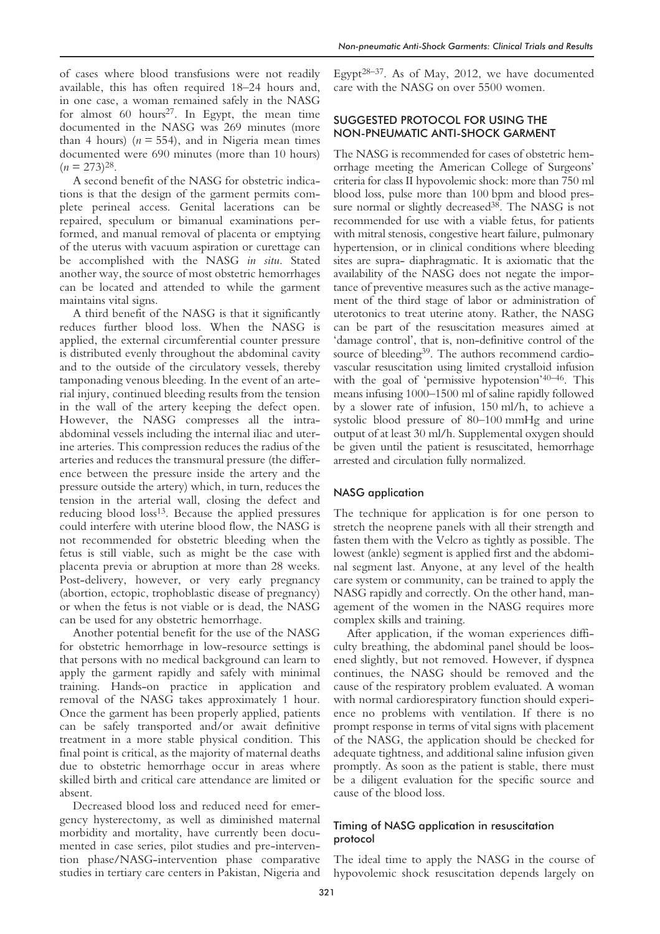of cases where blood transfusions were not readily available, this has often required 18–24 hours and, in one case, a woman remained safely in the NASG for almost 60 hours<sup>27</sup>. In Egypt, the mean time documented in the NASG was 269 minutes (more than 4 hours)  $(n = 554)$ , and in Nigeria mean times documented were 690 minutes (more than 10 hours)  $(n = 273)^{28}$ .

A second benefit of the NASG for obstetric indications is that the design of the garment permits complete perineal access. Genital lacerations can be repaired, speculum or bimanual examinations performed, and manual removal of placenta or emptying of the uterus with vacuum aspiration or curettage can be accomplished with the NASG *in situ*. Stated another way, the source of most obstetric hemorrhages can be located and attended to while the garment maintains vital signs.

A third benefit of the NASG is that it significantly reduces further blood loss. When the NASG is applied, the external circumferential counter pressure is distributed evenly throughout the abdominal cavity and to the outside of the circulatory vessels, thereby tamponading venous bleeding. In the event of an arterial injury, continued bleeding results from the tension in the wall of the artery keeping the defect open. However, the NASG compresses all the intraabdominal vessels including the internal iliac and uterine arteries. This compression reduces the radius of the arteries and reduces the transmural pressure (the difference between the pressure inside the artery and the pressure outside the artery) which, in turn, reduces the tension in the arterial wall, closing the defect and reducing blood loss<sup>13</sup>. Because the applied pressures could interfere with uterine blood flow, the NASG is not recommended for obstetric bleeding when the fetus is still viable, such as might be the case with placenta previa or abruption at more than 28 weeks. Post-delivery, however, or very early pregnancy (abortion, ectopic, trophoblastic disease of pregnancy) or when the fetus is not viable or is dead, the NASG can be used for any obstetric hemorrhage.

Another potential benefit for the use of the NASG for obstetric hemorrhage in low-resource settings is that persons with no medical background can learn to apply the garment rapidly and safely with minimal training. Hands-on practice in application and removal of the NASG takes approximately 1 hour. Once the garment has been properly applied, patients can be safely transported and/or await definitive treatment in a more stable physical condition. This final point is critical, as the majority of maternal deaths due to obstetric hemorrhage occur in areas where skilled birth and critical care attendance are limited or absent.

Decreased blood loss and reduced need for emergency hysterectomy, as well as diminished maternal morbidity and mortality, have currently been documented in case series, pilot studies and pre-intervention phase/NASG-intervention phase comparative studies in tertiary care centers in Pakistan, Nigeria and

Egypt<sup>28–37</sup>. As of May, 2012, we have documented care with the NASG on over 5500 women.

# SUGGESTED PROTOCOL FOR USING THE NON-PNEUMATIC ANTI-SHOCK GARMENT

The NASG is recommended for cases of obstetric hemorrhage meeting the American College of Surgeons' criteria for class II hypovolemic shock: more than 750 ml blood loss, pulse more than 100 bpm and blood pressure normal or slightly decreased<sup>38</sup>. The NASG is not recommended for use with a viable fetus, for patients with mitral stenosis, congestive heart failure, pulmonary hypertension, or in clinical conditions where bleeding sites are supra- diaphragmatic. It is axiomatic that the availability of the NASG does not negate the importance of preventive measures such as the active management of the third stage of labor or administration of uterotonics to treat uterine atony. Rather, the NASG can be part of the resuscitation measures aimed at 'damage control', that is, non-definitive control of the source of bleeding<sup>39</sup>. The authors recommend cardiovascular resuscitation using limited crystalloid infusion with the goal of 'permissive hypotension'40–46. This means infusing 1000–1500 ml of saline rapidly followed by a slower rate of infusion, 150 ml/h, to achieve a systolic blood pressure of 80–100 mmHg and urine output of at least 30 ml/h. Supplemental oxygen should be given until the patient is resuscitated, hemorrhage arrested and circulation fully normalized.

#### NASG application

The technique for application is for one person to stretch the neoprene panels with all their strength and fasten them with the Velcro as tightly as possible. The lowest (ankle) segment is applied first and the abdominal segment last. Anyone, at any level of the health care system or community, can be trained to apply the NASG rapidly and correctly. On the other hand, management of the women in the NASG requires more complex skills and training.

After application, if the woman experiences difficulty breathing, the abdominal panel should be loosened slightly, but not removed. However, if dyspnea continues, the NASG should be removed and the cause of the respiratory problem evaluated. A woman with normal cardiorespiratory function should experience no problems with ventilation. If there is no prompt response in terms of vital signs with placement of the NASG, the application should be checked for adequate tightness, and additional saline infusion given promptly. As soon as the patient is stable, there must be a diligent evaluation for the specific source and cause of the blood loss.

# Timing of NASG application in resuscitation protocol

The ideal time to apply the NASG in the course of hypovolemic shock resuscitation depends largely on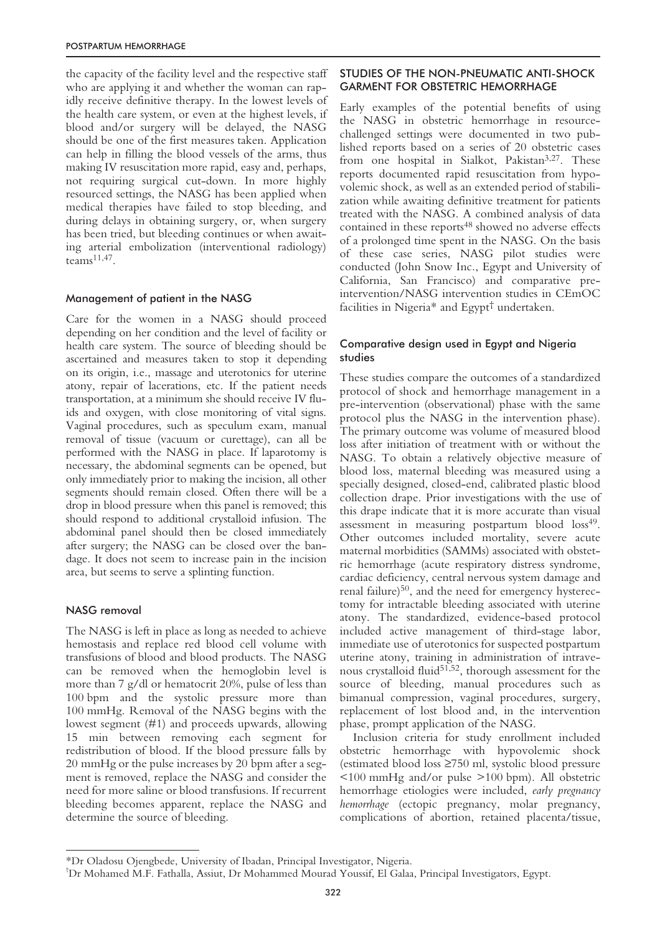the capacity of the facility level and the respective staff who are applying it and whether the woman can rapidly receive definitive therapy. In the lowest levels of the health care system, or even at the highest levels, if blood and/or surgery will be delayed, the NASG should be one of the first measures taken. Application can help in filling the blood vessels of the arms, thus making IV resuscitation more rapid, easy and, perhaps, not requiring surgical cut-down. In more highly resourced settings, the NASG has been applied when medical therapies have failed to stop bleeding, and during delays in obtaining surgery, or, when surgery has been tried, but bleeding continues or when awaiting arterial embolization (interventional radiology) teams $11,47$ .

## Management of patient in the NASG

Care for the women in a NASG should proceed depending on her condition and the level of facility or health care system. The source of bleeding should be ascertained and measures taken to stop it depending on its origin, i.e., massage and uterotonics for uterine atony, repair of lacerations, etc. If the patient needs transportation, at a minimum she should receive IV fluids and oxygen, with close monitoring of vital signs. Vaginal procedures, such as speculum exam, manual removal of tissue (vacuum or curettage), can all be performed with the NASG in place. If laparotomy is necessary, the abdominal segments can be opened, but only immediately prior to making the incision, all other segments should remain closed. Often there will be a drop in blood pressure when this panel is removed; this should respond to additional crystalloid infusion. The abdominal panel should then be closed immediately after surgery; the NASG can be closed over the bandage. It does not seem to increase pain in the incision area, but seems to serve a splinting function.

## NASG removal

The NASG is left in place as long as needed to achieve hemostasis and replace red blood cell volume with transfusions of blood and blood products. The NASG can be removed when the hemoglobin level is more than 7 g/dl or hematocrit 20%, pulse of less than 100 bpm and the systolic pressure more than 100 mmHg. Removal of the NASG begins with the lowest segment (#1) and proceeds upwards, allowing 15 min between removing each segment for redistribution of blood. If the blood pressure falls by 20 mmHg or the pulse increases by 20 bpm after a segment is removed, replace the NASG and consider the need for more saline or blood transfusions. If recurrent bleeding becomes apparent, replace the NASG and determine the source of bleeding.

# STUDIES OF THE NON-PNEUMATIC ANTI-SHOCK GARMENT FOR OBSTETRIC HEMORRHAGE

Early examples of the potential benefits of using the NASG in obstetric hemorrhage in resourcechallenged settings were documented in two published reports based on a series of 20 obstetric cases from one hospital in Sialkot, Pakistan<sup>3,27</sup>. These reports documented rapid resuscitation from hypovolemic shock, as well as an extended period of stabilization while awaiting definitive treatment for patients treated with the NASG. A combined analysis of data contained in these reports<sup>48</sup> showed no adverse effects of a prolonged time spent in the NASG. On the basis of these case series, NASG pilot studies were conducted (John Snow Inc., Egypt and University of California, San Francisco) and comparative preintervention/NASG intervention studies in CEmOC facilities in Nigeria\* and Egypt† undertaken.

## Comparative design used in Egypt and Nigeria studies

These studies compare the outcomes of a standardized protocol of shock and hemorrhage management in a pre-intervention (observational) phase with the same protocol plus the NASG in the intervention phase). The primary outcome was volume of measured blood loss after initiation of treatment with or without the NASG. To obtain a relatively objective measure of blood loss, maternal bleeding was measured using a specially designed, closed-end, calibrated plastic blood collection drape. Prior investigations with the use of this drape indicate that it is more accurate than visual assessment in measuring postpartum blood loss<sup>49</sup>. Other outcomes included mortality, severe acute maternal morbidities (SAMMs) associated with obstetric hemorrhage (acute respiratory distress syndrome, cardiac deficiency, central nervous system damage and renal failure)50, and the need for emergency hysterectomy for intractable bleeding associated with uterine atony. The standardized, evidence-based protocol included active management of third-stage labor, immediate use of uterotonics for suspected postpartum uterine atony, training in administration of intravenous crystalloid fluid51,52, thorough assessment for the source of bleeding, manual procedures such as bimanual compression, vaginal procedures, surgery, replacement of lost blood and, in the intervention phase, prompt application of the NASG.

Inclusion criteria for study enrollment included obstetric hemorrhage with hypovolemic shock (estimated blood loss ≥750 ml, systolic blood pressure <100 mmHg and/or pulse >100 bpm). All obstetric hemorrhage etiologies were included, *early pregnancy hemorrhage* (ectopic pregnancy, molar pregnancy, complications of abortion, retained placenta/tissue,

<sup>\*</sup>Dr Oladosu Ojengbede, University of Ibadan, Principal Investigator, Nigeria.

<sup>†</sup> Dr Mohamed M.F. Fathalla, Assiut, Dr Mohammed Mourad Youssif, El Galaa, Principal Investigators, Egypt.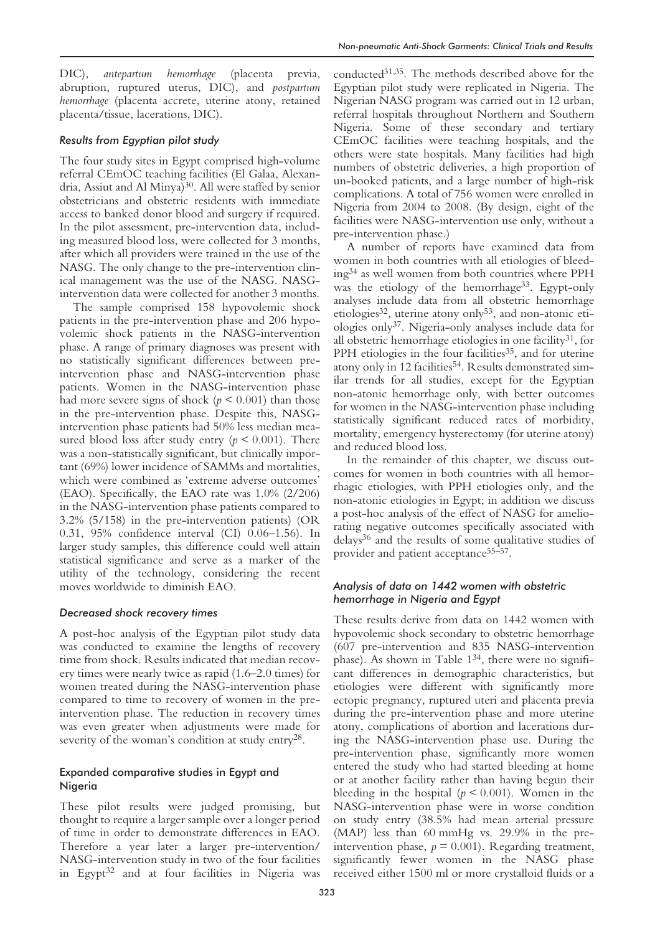DIC), *antepartum hemorrhage* (placenta previa, abruption, ruptured uterus, DIC), and *postpartum hemorrhage* (placenta accrete, uterine atony, retained placenta/tissue, lacerations, DIC).

# *Results from Egyptian pilot study*

The four study sites in Egypt comprised high-volume referral CEmOC teaching facilities (El Galaa, Alexandria, Assiut and Al Minya)<sup>30</sup>. All were staffed by senior obstetricians and obstetric residents with immediate access to banked donor blood and surgery if required. In the pilot assessment, pre-intervention data, including measured blood loss, were collected for 3 months, after which all providers were trained in the use of the NASG. The only change to the pre-intervention clinical management was the use of the NASG. NASGintervention data were collected for another 3 months.

The sample comprised 158 hypovolemic shock patients in the pre-intervention phase and 206 hypovolemic shock patients in the NASG-intervention phase. A range of primary diagnoses was present with no statistically significant differences between preintervention phase and NASG-intervention phase patients. Women in the NASG-intervention phase had more severe signs of shock ( $p \leq 0.001$ ) than those in the pre-intervention phase. Despite this, NASGintervention phase patients had 50% less median measured blood loss after study entry  $(p < 0.001)$ . There was a non-statistically significant, but clinically important (69%) lower incidence of SAMMs and mortalities, which were combined as 'extreme adverse outcomes' (EAO). Specifically, the EAO rate was 1.0% (2/206) in the NASG-intervention phase patients compared to 3.2% (5/158) in the pre-intervention patients) (OR 0.31, 95% confidence interval (CI) 0.06–1.56). In larger study samples, this difference could well attain statistical significance and serve as a marker of the utility of the technology, considering the recent moves worldwide to diminish EAO.

# *Decreased shock recovery times*

A post-hoc analysis of the Egyptian pilot study data was conducted to examine the lengths of recovery time from shock. Results indicated that median recovery times were nearly twice as rapid (1.6–2.0 times) for women treated during the NASG-intervention phase compared to time to recovery of women in the preintervention phase. The reduction in recovery times was even greater when adjustments were made for severity of the woman's condition at study entry28.

# Expanded comparative studies in Egypt and Nigeria

These pilot results were judged promising, but thought to require a larger sample over a longer period of time in order to demonstrate differences in EAO. Therefore a year later a larger pre-intervention/ NASG-intervention study in two of the four facilities in Egypt<sup>32</sup> and at four facilities in Nigeria was

conducted31,35. The methods described above for the Egyptian pilot study were replicated in Nigeria. The Nigerian NASG program was carried out in 12 urban, referral hospitals throughout Northern and Southern Nigeria. Some of these secondary and tertiary CEmOC facilities were teaching hospitals, and the others were state hospitals. Many facilities had high numbers of obstetric deliveries, a high proportion of un-booked patients, and a large number of high-risk complications. A total of 756 women were enrolled in Nigeria from 2004 to 2008. (By design, eight of the facilities were NASG-intervention use only, without a pre-intervention phase.)

A number of reports have examined data from women in both countries with all etiologies of bleeding34 as well women from both countries where PPH was the etiology of the hemorrhage<sup>33</sup>. Egypt-only analyses include data from all obstetric hemorrhage etiologies<sup>32</sup>, uterine atony only<sup>53</sup>, and non-atonic etiologies only37. Nigeria-only analyses include data for all obstetric hemorrhage etiologies in one facility<sup>31</sup>, for PPH etiologies in the four facilities<sup>35</sup>, and for uterine atony only in 12 facilities<sup>54</sup>. Results demonstrated similar trends for all studies, except for the Egyptian non-atonic hemorrhage only, with better outcomes for women in the NASG-intervention phase including statistically significant reduced rates of morbidity, mortality, emergency hysterectomy (for uterine atony) and reduced blood loss.

In the remainder of this chapter, we discuss outcomes for women in both countries with all hemorrhagic etiologies, with PPH etiologies only, and the non-atonic etiologies in Egypt; in addition we discuss a post-hoc analysis of the effect of NASG for ameliorating negative outcomes specifically associated with delays36 and the results of some qualitative studies of provider and patient acceptance<sup>55–57</sup>.

# *Analysis of data on 1442 women with obstetric hemorrhage in Nigeria and Egypt*

These results derive from data on 1442 women with hypovolemic shock secondary to obstetric hemorrhage (607 pre-intervention and 835 NASG-intervention phase). As shown in Table 134, there were no significant differences in demographic characteristics, but etiologies were different with significantly more ectopic pregnancy, ruptured uteri and placenta previa during the pre-intervention phase and more uterine atony, complications of abortion and lacerations during the NASG-intervention phase use. During the pre-intervention phase, significantly more women entered the study who had started bleeding at home or at another facility rather than having begun their bleeding in the hospital ( $p \le 0.001$ ). Women in the NASG-intervention phase were in worse condition on study entry (38.5% had mean arterial pressure (MAP) less than 60 mmHg vs. 29.9% in the preintervention phase,  $p = 0.001$ ). Regarding treatment, significantly fewer women in the NASG phase received either 1500 ml or more crystalloid fluids or a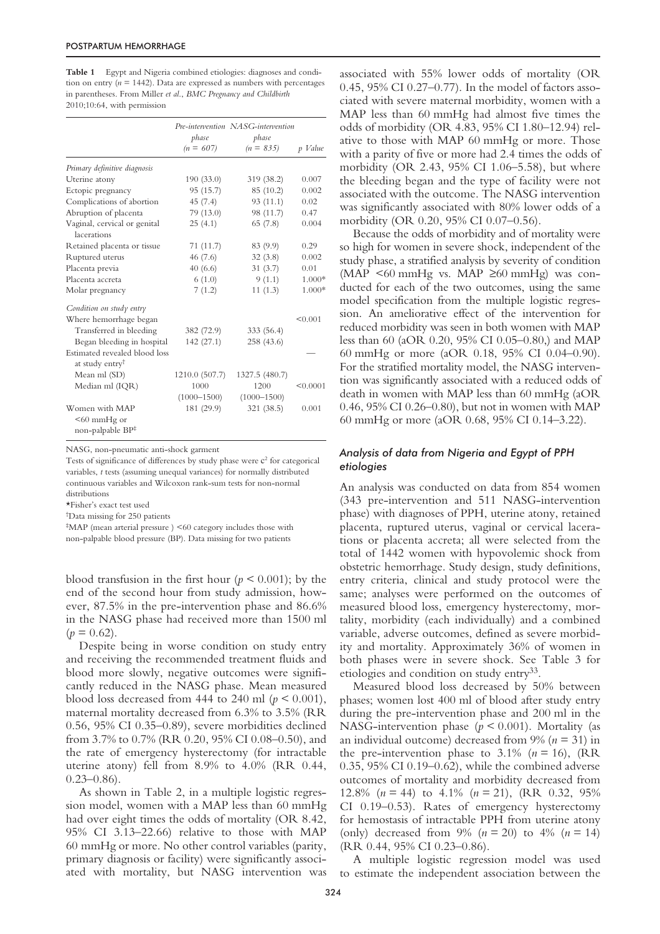**Table 1** Egypt and Nigeria combined etiologies: diagnoses and condition on entry  $(n = 1442)$ . Data are expressed as numbers with percentages in parentheses. From Miller *et al*., *BMC Pregnancy and Childbirth* 2010;10:64, with permission

|                               |                 | Pre-intervention NASG-intervention |          |
|-------------------------------|-----------------|------------------------------------|----------|
|                               | phase           | phase                              |          |
|                               | $(n = 607)$     | $(n = 835)$                        | p Value  |
| Primary definitive diagnosis  |                 |                                    |          |
| Uterine atony                 | 190(33.0)       | 319 (38.2)                         | 0.007    |
| Ectopic pregnancy             | 95 (15.7)       | 85 (10.2)                          | 0.002    |
| Complications of abortion     | 45(7.4)         | 93 (11.1)                          | 0.02     |
| Abruption of placenta         | 79(13.0)        | 98 (11.7)                          | 0.47     |
| Vaginal, cervical or genital  | 25(4.1)         | 65(7.8)                            | 0.004    |
| lacerations                   |                 |                                    |          |
| Retained placenta or tissue   | 71(11.7)        | 83 (9.9)                           | 0.29     |
| Ruptured uterus               | 46(7.6)         | 32(3.8)                            | 0.002    |
| Placenta previa               | 40(6.6)         | 31(3.7)                            | 0.01     |
| Placenta accreta              | 6(1.0)          | 9(1.1)                             | 1.000*   |
| Molar pregnancy               | 7(1.2)          | 11(1.3)                            | 1.000*   |
| Condition on study entry      |                 |                                    |          |
| Where hemorrhage began        |                 |                                    | < 0.001  |
| Transferred in bleeding       | 382 (72.9)      | 333 (56.4)                         |          |
| Began bleeding in hospital    | 142 (27.1)      | 258 (43.6)                         |          |
| Estimated revealed blood loss |                 |                                    |          |
| at study entry <sup>†</sup>   |                 |                                    |          |
| Mean ml (SD)                  | 1210.0 (507.7)  | 1327.5 (480.7)                     |          |
| Median ml (IQR)               | 1000            | 1200                               | < 0.0001 |
|                               | $(1000 - 1500)$ | $(1000 - 1500)$                    |          |
| Women with MAP                | 181 (29.9)      | 321 (38.5)                         | 0.001    |
| $< 60$ mmHg or                |                 |                                    |          |
| non-palpable BP <sup>‡</sup>  |                 |                                    |          |

NASG, non-pneumatic anti-shock garment

Tests of significance of differences by study phase were  $c<sup>2</sup>$  for categorical variables, *t* tests (assuming unequal variances) for normally distributed continuous variables and Wilcoxon rank-sum tests for non-normal distributions

\*Fisher's exact test used

† Data missing for 250 patients

‡ MAP (mean arterial pressure ) <60 category includes those with non-palpable blood pressure (BP). Data missing for two patients

blood transfusion in the first hour ( $p < 0.001$ ); by the end of the second hour from study admission, however, 87.5% in the pre-intervention phase and 86.6% in the NASG phase had received more than 1500 ml  $(p = 0.62)$ .

Despite being in worse condition on study entry and receiving the recommended treatment fluids and blood more slowly, negative outcomes were significantly reduced in the NASG phase. Mean measured blood loss decreased from 444 to 240 ml  $(p < 0.001)$ , maternal mortality decreased from 6.3% to 3.5% (RR 0.56, 95% CI 0.35–0.89), severe morbidities declined from 3.7% to 0.7% (RR 0.20, 95% CI 0.08–0.50), and the rate of emergency hysterectomy (for intractable uterine atony) fell from 8.9% to 4.0% (RR 0.44,  $0.23 - 0.86$ .

As shown in Table 2, in a multiple logistic regression model, women with a MAP less than 60 mmHg had over eight times the odds of mortality (OR 8.42, 95% CI 3.13–22.66) relative to those with MAP 60 mmHg or more. No other control variables (parity, primary diagnosis or facility) were significantly associated with mortality, but NASG intervention was associated with 55% lower odds of mortality (OR 0.45, 95% CI 0.27–0.77). In the model of factors associated with severe maternal morbidity, women with a MAP less than 60 mmHg had almost five times the odds of morbidity (OR 4.83, 95% CI 1.80–12.94) relative to those with MAP 60 mmHg or more. Those with a parity of five or more had 2.4 times the odds of morbidity (OR 2.43, 95% CI 1.06–5.58), but where the bleeding began and the type of facility were not associated with the outcome. The NASG intervention was significantly associated with 80% lower odds of a morbidity (OR 0.20, 95% CI 0.07–0.56).

Because the odds of morbidity and of mortality were so high for women in severe shock, independent of the study phase, a stratified analysis by severity of condition (MAP <60 mmHg vs. MAP ≥60 mmHg) was conducted for each of the two outcomes, using the same model specification from the multiple logistic regression. An ameliorative effect of the intervention for reduced morbidity was seen in both women with MAP less than 60 (aOR 0.20, 95% CI 0.05–0.80,) and MAP 60 mmHg or more (aOR 0.18, 95% CI 0.04–0.90). For the stratified mortality model, the NASG intervention was significantly associated with a reduced odds of death in women with MAP less than 60 mmHg (aOR 0.46, 95% CI 0.26–0.80), but not in women with MAP 60 mmHg or more (aOR 0.68, 95% CI 0.14–3.22).

#### *Analysis of data from Nigeria and Egypt of PPH etiologies*

An analysis was conducted on data from 854 women (343 pre-intervention and 511 NASG-intervention phase) with diagnoses of PPH, uterine atony, retained placenta, ruptured uterus, vaginal or cervical lacerations or placenta accreta; all were selected from the total of 1442 women with hypovolemic shock from obstetric hemorrhage. Study design, study definitions, entry criteria, clinical and study protocol were the same; analyses were performed on the outcomes of measured blood loss, emergency hysterectomy, mortality, morbidity (each individually) and a combined variable, adverse outcomes, defined as severe morbidity and mortality. Approximately 36% of women in both phases were in severe shock. See Table 3 for etiologies and condition on study entry33.

Measured blood loss decreased by 50% between phases; women lost 400 ml of blood after study entry during the pre-intervention phase and 200 ml in the NASG-intervention phase ( $p < 0.001$ ). Mortality (as an individual outcome) decreased from 9% (*n* = 31) in the pre-intervention phase to  $3.1\%$  ( $n = 16$ ), (RR 0.35, 95% CI 0.19–0.62), while the combined adverse outcomes of mortality and morbidity decreased from 12.8% (*n* = 44) to 4.1% (*n* = 21), (RR 0.32, 95% CI 0.19–0.53). Rates of emergency hysterectomy for hemostasis of intractable PPH from uterine atony (only) decreased from 9%  $(n = 20)$  to 4%  $(n = 14)$ (RR 0.44, 95% CI 0.23–0.86).

A multiple logistic regression model was used to estimate the independent association between the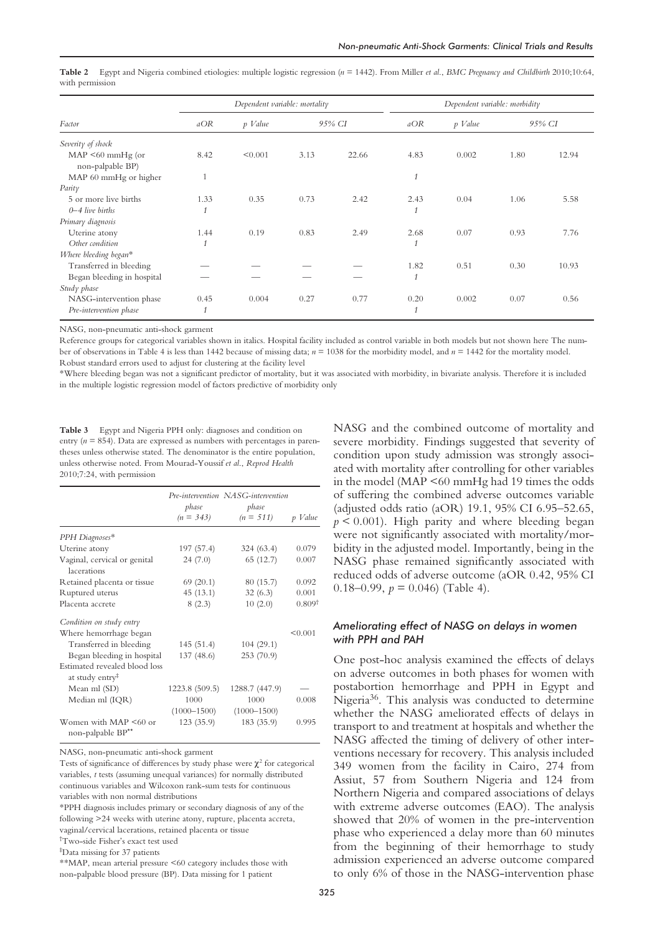| Factor                                     | Dependent variable: mortality |         |      | Dependent variable: morbidity |              |         |      |        |
|--------------------------------------------|-------------------------------|---------|------|-------------------------------|--------------|---------|------|--------|
|                                            | aOR                           | p Value |      | 95% CI                        | aOR          | p Value |      | 95% CI |
| Severity of shock                          |                               |         |      |                               |              |         |      |        |
| $MAP \leq 60$ mmHg (or<br>non-palpable BP) | 8.42                          | < 0.001 | 3.13 | 22.66                         | 4.83         | 0.002   | 1.80 | 12.94  |
| MAP 60 mmHg or higher                      | $\mathbf{1}$                  |         |      |                               | $\mathbf{1}$ |         |      |        |
| Parity                                     |                               |         |      |                               |              |         |      |        |
| 5 or more live births                      | 1.33                          | 0.35    | 0.73 | 2.42                          | 2.43         | 0.04    | 1.06 | 5.58   |
| $0 - 4$ live births                        | $\mathbf{1}$                  |         |      |                               | $\mathbf{1}$ |         |      |        |
| Primary diagnosis                          |                               |         |      |                               |              |         |      |        |
| Uterine atony                              | 1.44                          | 0.19    | 0.83 | 2.49                          | 2.68         | 0.07    | 0.93 | 7.76   |
| Other condition                            | $\mathbf{1}$                  |         |      |                               |              |         |      |        |
| Where bleeding began*                      |                               |         |      |                               |              |         |      |        |
| Transferred in bleeding                    |                               |         |      |                               | 1.82         | 0.51    | 0.30 | 10.93  |
| Began bleeding in hospital                 |                               |         |      |                               | 1            |         |      |        |
| Study phase                                |                               |         |      |                               |              |         |      |        |
| NASG-intervention phase                    | 0.45                          | 0.004   | 0.27 | 0.77                          | 0.20         | 0.002   | 0.07 | 0.56   |
| Pre-intervention phase                     | 1                             |         |      |                               |              |         |      |        |

**Table 2** Egypt and Nigeria combined etiologies: multiple logistic regression (*n* = 1442). From Miller *et al*., *BMC Pregnancy and Childbirth* 2010;10:64, with permission

NASG, non-pneumatic anti-shock garment

Reference groups for categorical variables shown in italics. Hospital facility included as control variable in both models but not shown here The number of observations in Table 4 is less than 1442 because of missing data; *n* = 1038 for the morbidity model, and *n* = 1442 for the mortality model. Robust standard errors used to adjust for clustering at the facility level

\*Where bleeding began was not a significant predictor of mortality, but it was associated with morbidity, in bivariate analysis. Therefore it is included in the multiple logistic regression model of factors predictive of morbidity only

**Table 3** Egypt and Nigeria PPH only: diagnoses and condition on entry ( $n = 854$ ). Data are expressed as numbers with percentages in parentheses unless otherwise stated. The denominator is the entire population, unless otherwise noted. From Mourad-Youssif *et al*., *Reprod Health* 2010;7:24, with permission

|                                                              | phase<br>$(n = 343)$    | Pre-intervention NASG-intervention<br>phase<br>$(n = 511)$ | p Value            |
|--------------------------------------------------------------|-------------------------|------------------------------------------------------------|--------------------|
| PPH Diagnoses*                                               |                         |                                                            |                    |
| Uterine atony                                                | 197 (57.4)              | 324(63.4)                                                  | 0.079              |
| Vaginal, cervical or genital<br>lacerations                  | 24(7.0)                 | 65 (12.7)                                                  | 0.007              |
| Retained placenta or tissue                                  | 69(20.1)                | 80 (15.7)                                                  | 0.092              |
| Ruptured uterus                                              | 45(13.1)                | 32(6.3)                                                    | 0.001              |
| Placenta accrete                                             | 8(2.3)                  | 10(2.0)                                                    | 0.809 <sup>†</sup> |
| Condition on study entry                                     |                         |                                                            |                    |
| Where hemorrhage began                                       |                         |                                                            | < 0.001            |
| Transferred in bleeding                                      | 145(51.4)               | 104(29.1)                                                  |                    |
| Began bleeding in hospital                                   | 137(48.6)               | 253(70.9)                                                  |                    |
| Estimated revealed blood loss<br>at study entry <sup>‡</sup> |                         |                                                            |                    |
| Mean ml (SD)                                                 | 1223.8 (509.5)          | 1288.7 (447.9)                                             |                    |
| Median ml (IQR)                                              | 1000<br>$(1000 - 1500)$ | 1000<br>$(1000 - 1500)$                                    | 0.008              |
| Women with MAP <60 or<br>non-palpable BP**                   | 123(35.9)               | 183 (35.9)                                                 | 0.995              |

NASG, non-pneumatic anti-shock garment

Tests of significance of differences by study phase were  $\chi^2$  for categorical variables, *t* tests (assuming unequal variances) for normally distributed continuous variables and Wilcoxon rank-sum tests for continuous variables with non normal distributions

\*PPH diagnosis includes primary or secondary diagnosis of any of the following >24 weeks with uterine atony, rupture, placenta accreta, vaginal/cervical lacerations, retained placenta or tissue

† Two-side Fisher's exact test used

‡ Data missing for 37 patients

\*\*MAP, mean arterial pressure <60 category includes those with non-palpable blood pressure (BP). Data missing for 1 patient

NASG and the combined outcome of mortality and severe morbidity. Findings suggested that severity of condition upon study admission was strongly associated with mortality after controlling for other variables in the model (MAP <60 mmHg had 19 times the odds of suffering the combined adverse outcomes variable (adjusted odds ratio (aOR) 19.1, 95% CI 6.95–52.65,  $p \leq 0.001$ ). High parity and where bleeding began were not significantly associated with mortality/morbidity in the adjusted model. Importantly, being in the NASG phase remained significantly associated with reduced odds of adverse outcome (aOR 0.42, 95% CI 0.18–0.99,  $p = 0.046$ ) (Table 4).

# *Ameliorating effect of NASG on delays in women with PPH and PAH*

One post-hoc analysis examined the effects of delays on adverse outcomes in both phases for women with postabortion hemorrhage and PPH in Egypt and Nigeria36. This analysis was conducted to determine whether the NASG ameliorated effects of delays in transport to and treatment at hospitals and whether the NASG affected the timing of delivery of other interventions necessary for recovery. This analysis included 349 women from the facility in Cairo, 274 from Assiut, 57 from Southern Nigeria and 124 from Northern Nigeria and compared associations of delays with extreme adverse outcomes (EAO). The analysis showed that 20% of women in the pre-intervention phase who experienced a delay more than 60 minutes from the beginning of their hemorrhage to study admission experienced an adverse outcome compared to only 6% of those in the NASG-intervention phase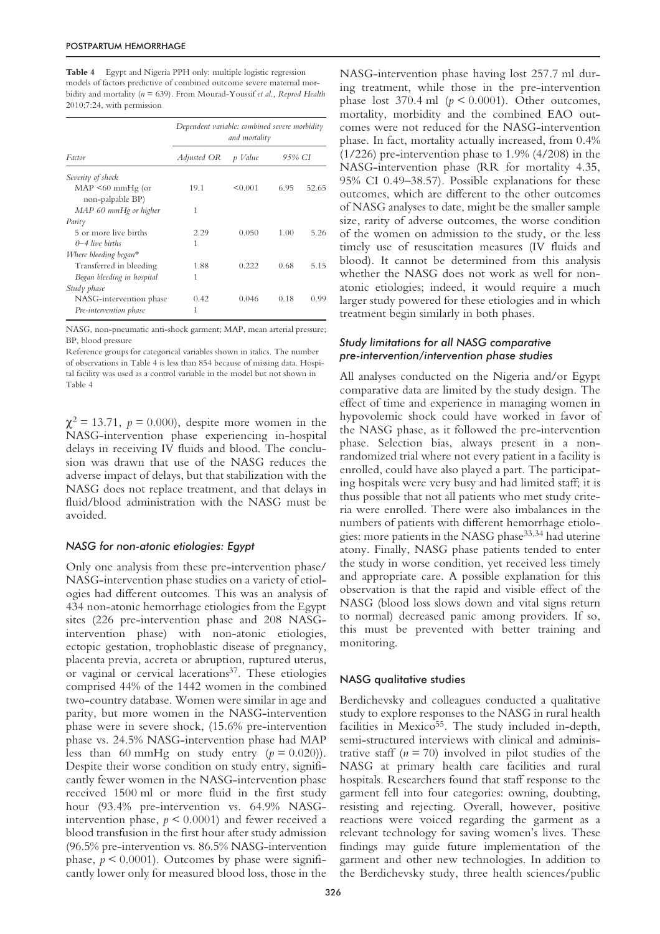**Table 4** Egypt and Nigeria PPH only: multiple logistic regression models of factors predictive of combined outcome severe maternal morbidity and mortality (*n* = 639). From Mourad-Youssif *et al*., *Reprod Health* 2010;7:24, with permission

| Factor                                     | Dependent variable: combined severe morbidity<br>and mortality |         |        |       |
|--------------------------------------------|----------------------------------------------------------------|---------|--------|-------|
|                                            | Adjusted OR                                                    | p Value | 95% CI |       |
| Severity of shock                          |                                                                |         |        |       |
| $MAP \leq 60$ mmHg (or<br>non-palpable BP) | 19.1                                                           | < 0.001 | 6.95   | 52.65 |
| MAP 60 mmHg or higher                      | 1                                                              |         |        |       |
| Parity                                     |                                                                |         |        |       |
| 5 or more live births                      | 2.29                                                           | 0.050   | 1.00   | 5.26  |
| $0 - 4$ live births                        | 1                                                              |         |        |       |
| Where bleeding began*                      |                                                                |         |        |       |
| Transferred in bleeding                    | 1.88                                                           | 0.222   | 0.68   | 5.15  |
| Began bleeding in hospital                 | 1                                                              |         |        |       |
| Study phase                                |                                                                |         |        |       |
| NASG-intervention phase                    | 0.42                                                           | 0.046   | 0.18   | 0.99  |
| Pre-intervention phase                     | 1                                                              |         |        |       |

NASG, non-pneumatic anti-shock garment; MAP, mean arterial pressure; BP, blood pressure

Reference groups for categorical variables shown in italics. The number of observations in Table 4 is less than 854 because of missing data. Hospital facility was used as a control variable in the model but not shown in Table 4

 $\chi^2 = 13.71$ ,  $p = 0.000$ ), despite more women in the NASG-intervention phase experiencing in-hospital delays in receiving IV fluids and blood. The conclusion was drawn that use of the NASG reduces the adverse impact of delays, but that stabilization with the NASG does not replace treatment, and that delays in fluid/blood administration with the NASG must be avoided.

## *NASG for non-atonic etiologies: Egypt*

Only one analysis from these pre-intervention phase/ NASG-intervention phase studies on a variety of etiologies had different outcomes. This was an analysis of 434 non-atonic hemorrhage etiologies from the Egypt sites (226 pre-intervention phase and 208 NASGintervention phase) with non-atonic etiologies, ectopic gestation, trophoblastic disease of pregnancy, placenta previa, accreta or abruption, ruptured uterus, or vaginal or cervical lacerations<sup>37</sup>. These etiologies comprised 44% of the 1442 women in the combined two-country database. Women were similar in age and parity, but more women in the NASG-intervention phase were in severe shock, (15.6% pre-intervention phase vs. 24.5% NASG-intervention phase had MAP less than 60 mmHg on study entry  $(p = 0.020)$ ). Despite their worse condition on study entry, significantly fewer women in the NASG-intervention phase received 1500 ml or more fluid in the first study hour (93.4% pre-intervention vs. 64.9% NASGintervention phase,  $p \leq 0.0001$ ) and fewer received a blood transfusion in the first hour after study admission (96.5% pre-intervention vs. 86.5% NASG-intervention phase,  $p < 0.0001$ ). Outcomes by phase were significantly lower only for measured blood loss, those in the

NASG-intervention phase having lost 257.7 ml during treatment, while those in the pre-intervention phase lost 370.4 ml (*p* < 0.0001). Other outcomes, mortality, morbidity and the combined EAO outcomes were not reduced for the NASG-intervention phase. In fact, mortality actually increased, from 0.4% (1/226) pre-intervention phase to 1.9% (4/208) in the NASG-intervention phase (RR for mortality 4.35, 95% CI 0.49–38.57). Possible explanations for these outcomes, which are different to the other outcomes of NASG analyses to date, might be the smaller sample size, rarity of adverse outcomes, the worse condition of the women on admission to the study, or the less timely use of resuscitation measures (IV fluids and blood). It cannot be determined from this analysis whether the NASG does not work as well for nonatonic etiologies; indeed, it would require a much larger study powered for these etiologies and in which treatment begin similarly in both phases.

# *Study limitations for all NASG comparative pre-intervention/intervention phase studies*

All analyses conducted on the Nigeria and/or Egypt comparative data are limited by the study design. The effect of time and experience in managing women in hypovolemic shock could have worked in favor of the NASG phase, as it followed the pre-intervention phase. Selection bias, always present in a nonrandomized trial where not every patient in a facility is enrolled, could have also played a part. The participating hospitals were very busy and had limited staff; it is thus possible that not all patients who met study criteria were enrolled. There were also imbalances in the numbers of patients with different hemorrhage etiologies: more patients in the NASG phase33,34 had uterine atony. Finally, NASG phase patients tended to enter the study in worse condition, yet received less timely and appropriate care. A possible explanation for this observation is that the rapid and visible effect of the NASG (blood loss slows down and vital signs return to normal) decreased panic among providers. If so, this must be prevented with better training and monitoring.

# NASG qualitative studies

Berdichevsky and colleagues conducted a qualitative study to explore responses to the NASG in rural health facilities in Mexico $55$ . The study included in-depth, semi-structured interviews with clinical and administrative staff  $(n = 70)$  involved in pilot studies of the NASG at primary health care facilities and rural hospitals. Researchers found that staff response to the garment fell into four categories: owning, doubting, resisting and rejecting. Overall, however, positive reactions were voiced regarding the garment as a relevant technology for saving women's lives. These findings may guide future implementation of the garment and other new technologies. In addition to the Berdichevsky study, three health sciences/public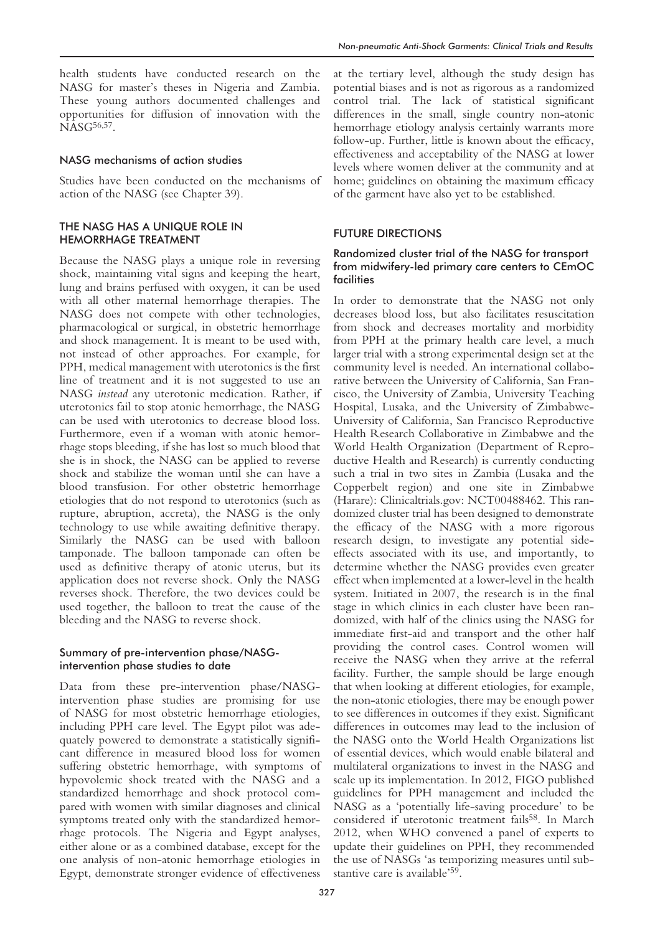health students have conducted research on the NASG for master's theses in Nigeria and Zambia. These young authors documented challenges and opportunities for diffusion of innovation with the NASG<sup>56,57</sup>.

#### NASG mechanisms of action studies

Studies have been conducted on the mechanisms of action of the NASG (see Chapter 39).

#### THE NASG HAS A UNIQUE ROLE IN HEMORRHAGE TREATMENT

Because the NASG plays a unique role in reversing shock, maintaining vital signs and keeping the heart, lung and brains perfused with oxygen, it can be used with all other maternal hemorrhage therapies. The NASG does not compete with other technologies, pharmacological or surgical, in obstetric hemorrhage and shock management. It is meant to be used with, not instead of other approaches. For example, for PPH, medical management with uterotonics is the first line of treatment and it is not suggested to use an NASG *instead* any uterotonic medication. Rather, if uterotonics fail to stop atonic hemorrhage, the NASG can be used with uterotonics to decrease blood loss. Furthermore, even if a woman with atonic hemorrhage stops bleeding, if she has lost so much blood that she is in shock, the NASG can be applied to reverse shock and stabilize the woman until she can have a blood transfusion. For other obstetric hemorrhage etiologies that do not respond to uterotonics (such as rupture, abruption, accreta), the NASG is the only technology to use while awaiting definitive therapy. Similarly the NASG can be used with balloon tamponade. The balloon tamponade can often be used as definitive therapy of atonic uterus, but its application does not reverse shock. Only the NASG reverses shock. Therefore, the two devices could be used together, the balloon to treat the cause of the bleeding and the NASG to reverse shock.

# Summary of pre-intervention phase/NASGintervention phase studies to date

Data from these pre-intervention phase/NASGintervention phase studies are promising for use of NASG for most obstetric hemorrhage etiologies, including PPH care level. The Egypt pilot was adequately powered to demonstrate a statistically significant difference in measured blood loss for women suffering obstetric hemorrhage, with symptoms of hypovolemic shock treated with the NASG and a standardized hemorrhage and shock protocol compared with women with similar diagnoses and clinical symptoms treated only with the standardized hemorrhage protocols. The Nigeria and Egypt analyses, either alone or as a combined database, except for the one analysis of non-atonic hemorrhage etiologies in Egypt, demonstrate stronger evidence of effectiveness

at the tertiary level, although the study design has potential biases and is not as rigorous as a randomized control trial. The lack of statistical significant differences in the small, single country non-atonic hemorrhage etiology analysis certainly warrants more follow-up. Further, little is known about the efficacy, effectiveness and acceptability of the NASG at lower levels where women deliver at the community and at home; guidelines on obtaining the maximum efficacy of the garment have also yet to be established.

#### FUTURE DIRECTIONS

# Randomized cluster trial of the NASG for transport from midwifery-led primary care centers to CEmOC facilities

In order to demonstrate that the NASG not only decreases blood loss, but also facilitates resuscitation from shock and decreases mortality and morbidity from PPH at the primary health care level, a much larger trial with a strong experimental design set at the community level is needed. An international collaborative between the University of California, San Francisco, the University of Zambia, University Teaching Hospital, Lusaka, and the University of Zimbabwe-University of California, San Francisco Reproductive Health Research Collaborative in Zimbabwe and the World Health Organization (Department of Reproductive Health and Research) is currently conducting such a trial in two sites in Zambia (Lusaka and the Copperbelt region) and one site in Zimbabwe (Harare): Clinicaltrials.gov: NCT00488462. This randomized cluster trial has been designed to demonstrate the efficacy of the NASG with a more rigorous research design, to investigate any potential sideeffects associated with its use, and importantly, to determine whether the NASG provides even greater effect when implemented at a lower-level in the health system. Initiated in 2007, the research is in the final stage in which clinics in each cluster have been randomized, with half of the clinics using the NASG for immediate first-aid and transport and the other half providing the control cases. Control women will receive the NASG when they arrive at the referral facility. Further, the sample should be large enough that when looking at different etiologies, for example, the non-atonic etiologies, there may be enough power to see differences in outcomes if they exist. Significant differences in outcomes may lead to the inclusion of the NASG onto the World Health Organizations list of essential devices, which would enable bilateral and multilateral organizations to invest in the NASG and scale up its implementation. In 2012, FIGO published guidelines for PPH management and included the NASG as a 'potentially life-saving procedure' to be considered if uterotonic treatment fails<sup>58</sup>. In March 2012, when WHO convened a panel of experts to update their guidelines on PPH, they recommended the use of NASGs 'as temporizing measures until substantive care is available'59.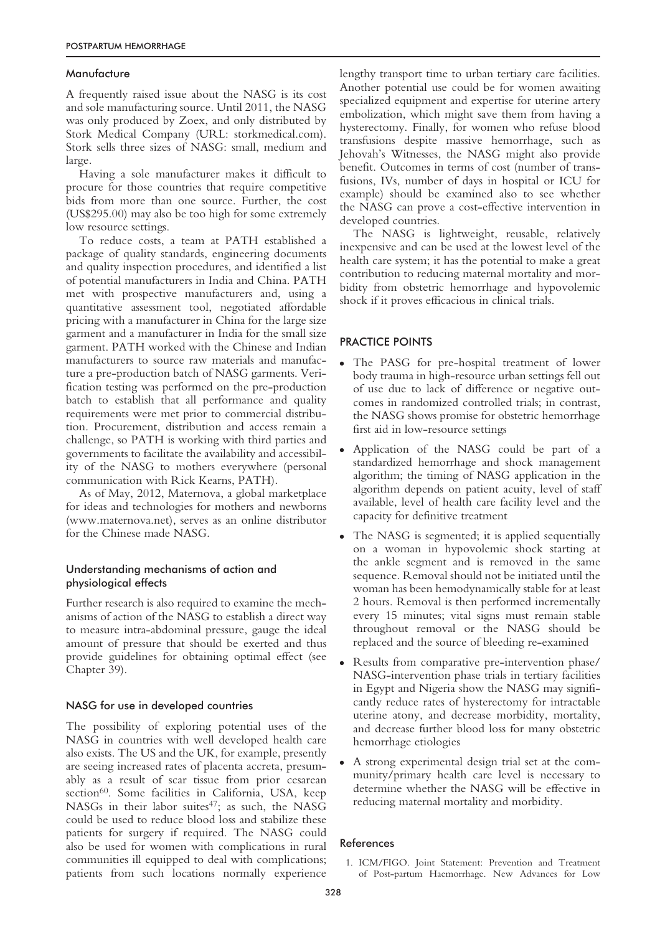#### Manufacture

A frequently raised issue about the NASG is its cost and sole manufacturing source. Until 2011, the NASG was only produced by Zoex, and only distributed by Stork Medical Company (URL: storkmedical.com). Stork sells three sizes of NASG: small, medium and large.

Having a sole manufacturer makes it difficult to procure for those countries that require competitive bids from more than one source. Further, the cost (US\$295.00) may also be too high for some extremely low resource settings.

To reduce costs, a team at PATH established a package of quality standards, engineering documents and quality inspection procedures, and identified a list of potential manufacturers in India and China. PATH met with prospective manufacturers and, using a quantitative assessment tool, negotiated affordable pricing with a manufacturer in China for the large size garment and a manufacturer in India for the small size garment. PATH worked with the Chinese and Indian manufacturers to source raw materials and manufacture a pre-production batch of NASG garments. Verification testing was performed on the pre-production batch to establish that all performance and quality requirements were met prior to commercial distribution. Procurement, distribution and access remain a challenge, so PATH is working with third parties and governments to facilitate the availability and accessibility of the NASG to mothers everywhere (personal communication with Rick Kearns, PATH).

As of May, 2012, Maternova, a global marketplace for ideas and technologies for mothers and newborns (www.maternova.net), serves as an online distributor for the Chinese made NASG.

## Understanding mechanisms of action and physiological effects

Further research is also required to examine the mechanisms of action of the NASG to establish a direct way to measure intra-abdominal pressure, gauge the ideal amount of pressure that should be exerted and thus provide guidelines for obtaining optimal effect (see Chapter 39).

## NASG for use in developed countries

The possibility of exploring potential uses of the NASG in countries with well developed health care also exists. The US and the UK, for example, presently are seeing increased rates of placenta accreta, presumably as a result of scar tissue from prior cesarean section<sup>60</sup>. Some facilities in California, USA, keep NASGs in their labor suites<sup>47</sup>; as such, the NASG could be used to reduce blood loss and stabilize these patients for surgery if required. The NASG could also be used for women with complications in rural communities ill equipped to deal with complications; patients from such locations normally experience

lengthy transport time to urban tertiary care facilities. Another potential use could be for women awaiting specialized equipment and expertise for uterine artery embolization, which might save them from having a hysterectomy. Finally, for women who refuse blood transfusions despite massive hemorrhage, such as Jehovah's Witnesses, the NASG might also provide benefit. Outcomes in terms of cost (number of transfusions, IVs, number of days in hospital or ICU for example) should be examined also to see whether the NASG can prove a cost-effective intervention in developed countries.

The NASG is lightweight, reusable, relatively inexpensive and can be used at the lowest level of the health care system; it has the potential to make a great contribution to reducing maternal mortality and morbidity from obstetric hemorrhage and hypovolemic shock if it proves efficacious in clinical trials.

#### PRACTICE POINTS

- The PASG for pre-hospital treatment of lower body trauma in high-resource urban settings fell out of use due to lack of difference or negative outcomes in randomized controlled trials; in contrast, the NASG shows promise for obstetric hemorrhage first aid in low-resource settings
- Application of the NASG could be part of a standardized hemorrhage and shock management algorithm; the timing of NASG application in the algorithm depends on patient acuity, level of staff available, level of health care facility level and the capacity for definitive treatment
- The NASG is segmented; it is applied sequentially on a woman in hypovolemic shock starting at the ankle segment and is removed in the same sequence. Removal should not be initiated until the woman has been hemodynamically stable for at least 2 hours. Removal is then performed incrementally every 15 minutes; vital signs must remain stable throughout removal or the NASG should be replaced and the source of bleeding re-examined
- Results from comparative pre-intervention phase/ NASG-intervention phase trials in tertiary facilities in Egypt and Nigeria show the NASG may significantly reduce rates of hysterectomy for intractable uterine atony, and decrease morbidity, mortality, and decrease further blood loss for many obstetric hemorrhage etiologies
- A strong experimental design trial set at the community/primary health care level is necessary to determine whether the NASG will be effective in reducing maternal mortality and morbidity.

#### References

1. ICM/FIGO. Joint Statement: Prevention and Treatment of Post-partum Haemorrhage. New Advances for Low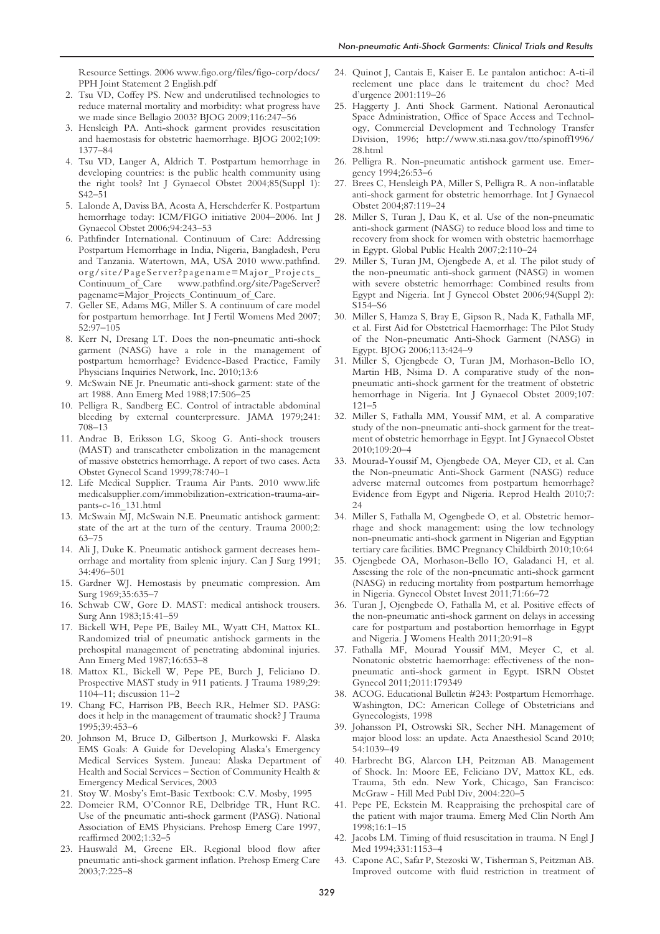Resource Settings. 2006 www.figo.org/files/figo-corp/docs/ PPH Joint Statement 2 English.pdf

- 2. Tsu VD, Coffey PS. New and underutilised technologies to reduce maternal mortality and morbidity: what progress have we made since Bellagio 2003? BJOG 2009;116:247–56
- 3. Hensleigh PA. Anti-shock garment provides resuscitation and haemostasis for obstetric haemorrhage. BJOG 2002;109: 1377–84
- 4. Tsu VD, Langer A, Aldrich T. Postpartum hemorrhage in developing countries: is the public health community using the right tools? Int J Gynaecol Obstet 2004;85(Suppl 1): S42–51
- 5. Lalonde A, Daviss BA, Acosta A, Herschderfer K. Postpartum hemorrhage today: ICM/FIGO initiative 2004–2006. Int J Gynaecol Obstet 2006;94:243–53
- 6. Pathfinder International. Continuum of Care: Addressing Postpartum Hemorrhage in India, Nigeria, Bangladesh, Peru and Tanzania. Watertown, MA, USA 2010 www.pathfind. org/site/PageServer?pagename=Major\_Projects\_ Continuum of Care www.pathfind.org/site/PageServer? pagename=Major\_Projects\_Continuum\_of\_Care.
- 7. Geller SE, Adams MG, Miller S. A continuum of care model for postpartum hemorrhage. Int J Fertil Womens Med 2007; 52:97–105
- 8. Kerr N, Dresang LT. Does the non-pneumatic anti-shock garment (NASG) have a role in the management of postpartum hemorrhage? Evidence-Based Practice, Family Physicians Inquiries Network, Inc. 2010;13:6
- 9. McSwain NE Jr. Pneumatic anti-shock garment: state of the art 1988. Ann Emerg Med 1988;17:506–25
- 10. Pelligra R, Sandberg EC. Control of intractable abdominal bleeding by external counterpressure. JAMA 1979;241: 708–13
- 11. Andrae B, Eriksson LG, Skoog G. Anti-shock trousers (MAST) and transcatheter embolization in the management of massive obstetrics hemorrhage. A report of two cases. Acta Obstet Gynecol Scand 1999;78:740–1
- 12. Life Medical Supplier. Trauma Air Pants. 2010 www.life medicalsupplier.com/immobilization-extrication-trauma-airpants-c-16\_131.html
- 13. McSwain MJ, McSwain N.E. Pneumatic antishock garment: state of the art at the turn of the century. Trauma 2000;2: 63–75
- 14. Ali J, Duke K. Pneumatic antishock garment decreases hemorrhage and mortality from splenic injury. Can J Surg 1991; 34:496–501
- 15. Gardner WJ. Hemostasis by pneumatic compression. Am Surg 1969;35:635–7
- 16. Schwab CW, Gore D. MAST: medical antishock trousers. Surg Ann 1983;15:41–59
- 17. Bickell WH, Pepe PE, Bailey ML, Wyatt CH, Mattox KL. Randomized trial of pneumatic antishock garments in the prehospital management of penetrating abdominal injuries. Ann Emerg Med 1987;16:653–8
- 18. Mattox KL, Bickell W, Pepe PE, Burch J, Feliciano D. Prospective MAST study in 911 patients. J Trauma 1989;29: 1104–11; discussion 11–2
- 19. Chang FC, Harrison PB, Beech RR, Helmer SD. PASG: does it help in the management of traumatic shock? J Trauma 1995;39:453–6
- 20. Johnson M, Bruce D, Gilbertson J, Murkowski F. Alaska EMS Goals: A Guide for Developing Alaska's Emergency Medical Services System. Juneau: Alaska Department of Health and Social Services – Section of Community Health & Emergency Medical Services, 2003
- 21. Stoy W. Mosby's Emt-Basic Textbook: C.V. Mosby, 1995
- 22. Domeier RM, O'Connor RE, Delbridge TR, Hunt RC. Use of the pneumatic anti-shock garment (PASG). National Association of EMS Physicians. Prehosp Emerg Care 1997, reaffirmed 2002;1:32–5
- 23. Hauswald M, Greene ER. Regional blood flow after pneumatic anti-shock garment inflation. Prehosp Emerg Care 2003;7:225–8
- 24. Quinot J, Cantais E, Kaiser E. Le pantalon antichoc: A-ti-il reelement une place dans le traitement du choc? Med d'urgence 2001:119–26
- 25. Haggerty J. Anti Shock Garment. National Aeronautical Space Administration, Office of Space Access and Technology, Commercial Development and Technology Transfer Division, 1996; http://www.sti.nasa.gov/tto/spinoff1996/ 28.html
- 26. Pelligra R. Non-pneumatic antishock garment use. Emergency 1994;26:53–6
- Brees C, Hensleigh PA, Miller S, Pelligra R. A non-inflatable anti-shock garment for obstetric hemorrhage. Int J Gynaecol Obstet 2004;87:119–24
- 28. Miller S, Turan J, Dau K, et al. Use of the non-pneumatic anti-shock garment (NASG) to reduce blood loss and time to recovery from shock for women with obstetric haemorrhage in Egypt. Global Public Health 2007;2:110–24
- 29. Miller S, Turan JM, Ojengbede A, et al. The pilot study of the non-pneumatic anti-shock garment (NASG) in women with severe obstetric hemorrhage: Combined results from Egypt and Nigeria. Int J Gynecol Obstet 2006;94(Suppl 2): S154–S6
- 30. Miller S, Hamza S, Bray E, Gipson R, Nada K, Fathalla MF, et al. First Aid for Obstetrical Haemorrhage: The Pilot Study of the Non-pneumatic Anti-Shock Garment (NASG) in Egypt. BJOG 2006;113:424–9
- 31. Miller S, Ojengbede O, Turan JM, Morhason-Bello IO, Martin HB, Nsima D. A comparative study of the nonpneumatic anti-shock garment for the treatment of obstetric hemorrhage in Nigeria. Int J Gynaecol Obstet 2009;107: 121–5
- 32. Miller S, Fathalla MM, Youssif MM, et al. A comparative study of the non-pneumatic anti-shock garment for the treatment of obstetric hemorrhage in Egypt. Int J Gynaecol Obstet 2010;109:20–4
- 33. Mourad-Youssif M, Ojengbede OA, Meyer CD, et al. Can the Non-pneumatic Anti-Shock Garment (NASG) reduce adverse maternal outcomes from postpartum hemorrhage? Evidence from Egypt and Nigeria. Reprod Health 2010;7: 24
- 34. Miller S, Fathalla M, Ogengbede O, et al. Obstetric hemorrhage and shock management: using the low technology non-pneumatic anti-shock garment in Nigerian and Egyptian tertiary care facilities. BMC Pregnancy Childbirth 2010;10:64
- 35. Ojengbede OA, Morhason-Bello IO, Galadanci H, et al. Assessing the role of the non-pneumatic anti-shock garment (NASG) in reducing mortality from postpartum hemorrhage in Nigeria. Gynecol Obstet Invest 2011;71:66–72
- 36. Turan J, Ojengbede O, Fathalla M, et al. Positive effects of the non-pneumatic anti-shock garment on delays in accessing care for postpartum and postabortion hemorrhage in Egypt and Nigeria. J Womens Health 2011;20:91–8
- 37. Fathalla MF, Mourad Youssif MM, Meyer C, et al. Nonatonic obstetric haemorrhage: effectiveness of the nonpneumatic anti-shock garment in Egypt. ISRN Obstet Gynecol 2011;2011:179349
- 38. ACOG. Educational Bulletin #243: Postpartum Hemorrhage. Washington, DC: American College of Obstetricians and Gynecologists, 1998
- 39. Johansson PI, Ostrowski SR, Secher NH. Management of major blood loss: an update. Acta Anaesthesiol Scand 2010; 54:1039–49
- 40. Harbrecht BG, Alarcon LH, Peitzman AB. Management of Shock. In: Moore EE, Feliciano DV, Mattox KL, eds. Trauma, 5th edn. New York, Chicago, San Francisco: McGraw - Hill Med Publ Div, 2004:220–5
- 41. Pepe PE, Eckstein M. Reappraising the prehospital care of the patient with major trauma. Emerg Med Clin North Am 1998;16:1–15
- 42. Jacobs LM. Timing of fluid resuscitation in trauma. N Engl J Med 1994;331:1153–4
- 43. Capone AC, Safar P, Stezoski W, Tisherman S, Peitzman AB. Improved outcome with fluid restriction in treatment of